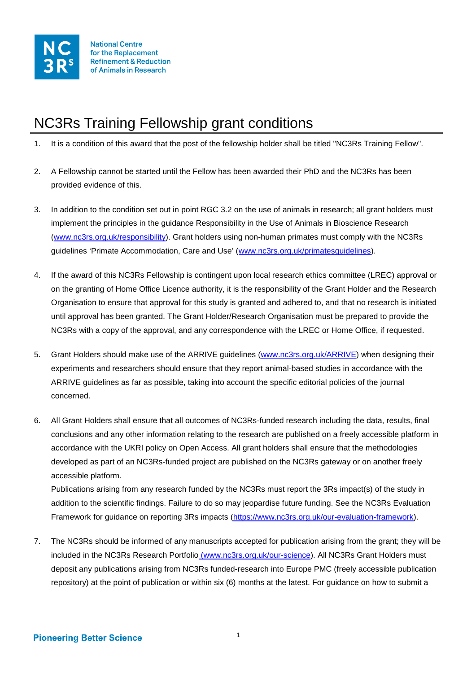

## NC3Rs Training Fellowship grant conditions

- 1. It is a condition of this award that the post of the fellowship holder shall be titled "NC3Rs Training Fellow".
- 2. A Fellowship cannot be started until the Fellow has been awarded their PhD and the NC3Rs has been provided evidence of this.
- 3. In addition to the condition set out in point RGC 3.2 on the use of animals in research; all grant holders must implement the principles in the guidance Responsibility in the Use of Animals in Bioscience Research [\(www.nc3rs.org.uk/responsibility\)](http://www.nc3rs.org.uk/responsibility). Grant holders using non-human primates must comply with the NC3Rs guidelines 'Primate Accommodation, Care and Use' [\(www.nc3rs.org.uk/primatesguidelines\)](http://www.nc3rs.org.uk/primatesguidelines).
- 4. If the award of this NC3Rs Fellowship is contingent upon local research ethics committee (LREC) approval or on the granting of Home Office Licence authority, it is the responsibility of the Grant Holder and the Research Organisation to ensure that approval for this study is granted and adhered to, and that no research is initiated until approval has been granted. The Grant Holder/Research Organisation must be prepared to provide the NC3Rs with a copy of the approval, and any correspondence with the LREC or Home Office, if requested.
- 5. Grant Holders should make use of the ARRIVE guidelines [\(www.nc3rs.org.uk/ARRIVE\)](http://www.nc3rs.org.uk/ARRIVE) when designing their experiments and researchers should ensure that they report animal-based studies in accordance with the ARRIVE guidelines as far as possible, taking into account the specific editorial policies of the journal concerned.
- 6. All Grant Holders shall ensure that all outcomes of NC3Rs-funded research including the data, results, final conclusions and any other information relating to the research are published on a freely accessible platform in accordance with the UKRI policy on Open Access. All grant holders shall ensure that the methodologies developed as part of an NC3Rs-funded project are published on the NC3Rs gateway or on another freely accessible platform.

Publications arising from any research funded by the NC3Rs must report the 3Rs impact(s) of the study in addition to the scientific findings. Failure to do so may jeopardise future funding. See the NC3Rs Evaluation Framework for guidance on reporting 3Rs impacts [\(https://www.nc3rs.org.uk/our-evaluation-framework\)](https://www.nc3rs.org.uk/our-evaluation-framework).

7. The NC3Rs should be informed of any manuscripts accepted for publication arising from the grant; they will be included in the NC3Rs Research Portfolio [\(www.nc3rs.org.uk/our-science\)](http://www.nc3rs.org.uk/our-science). All NC3Rs Grant Holders must deposit any publications arising from NC3Rs funded-research into Europe PMC (freely accessible publication repository) at the point of publication or within six (6) months at the latest. For guidance on how to submit a